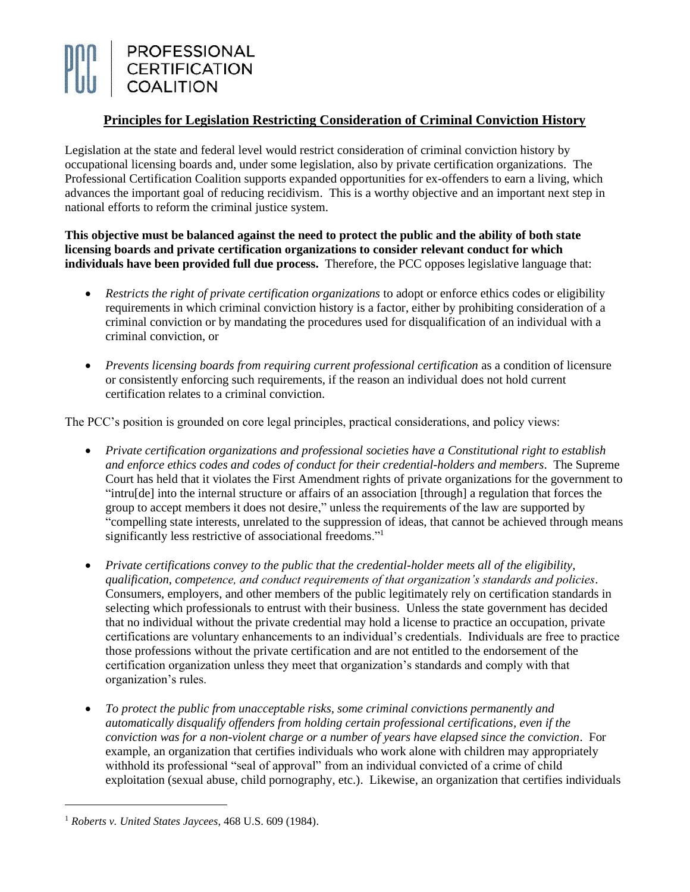

## **Principles for Legislation Restricting Consideration of Criminal Conviction History**

Legislation at the state and federal level would restrict consideration of criminal conviction history by occupational licensing boards and, under some legislation, also by private certification organizations. The Professional Certification Coalition supports expanded opportunities for ex-offenders to earn a living, which advances the important goal of reducing recidivism. This is a worthy objective and an important next step in national efforts to reform the criminal justice system.

**This objective must be balanced against the need to protect the public and the ability of both state licensing boards and private certification organizations to consider relevant conduct for which individuals have been provided full due process.** Therefore, the PCC opposes legislative language that:

- *Restricts the right of private certification organizations* to adopt or enforce ethics codes or eligibility requirements in which criminal conviction history is a factor, either by prohibiting consideration of a criminal conviction or by mandating the procedures used for disqualification of an individual with a criminal conviction, or
- *Prevents licensing boards from requiring current professional certification* as a condition of licensure or consistently enforcing such requirements, if the reason an individual does not hold current certification relates to a criminal conviction.

The PCC's position is grounded on core legal principles, practical considerations, and policy views:

- *Private certification organizations and professional societies have a Constitutional right to establish and enforce ethics codes and codes of conduct for their credential-holders and members*. The Supreme Court has held that it violates the First Amendment rights of private organizations for the government to "intru[de] into the internal structure or affairs of an association [through] a regulation that forces the group to accept members it does not desire," unless the requirements of the law are supported by "compelling state interests, unrelated to the suppression of ideas, that cannot be achieved through means significantly less restrictive of associational freedoms."<sup>1</sup>
- *Private certifications convey to the public that the credential-holder meets all of the eligibility, qualification, competence, and conduct requirements of that organization's standards and policies*. Consumers, employers, and other members of the public legitimately rely on certification standards in selecting which professionals to entrust with their business. Unless the state government has decided that no individual without the private credential may hold a license to practice an occupation, private certifications are voluntary enhancements to an individual's credentials. Individuals are free to practice those professions without the private certification and are not entitled to the endorsement of the certification organization unless they meet that organization's standards and comply with that organization's rules.
- *To protect the public from unacceptable risks, some criminal convictions permanently and automatically disqualify offenders from holding certain professional certifications, even if the conviction was for a non-violent charge or a number of years have elapsed since the conviction*. For example, an organization that certifies individuals who work alone with children may appropriately withhold its professional "seal of approval" from an individual convicted of a crime of child exploitation (sexual abuse, child pornography, etc.). Likewise, an organization that certifies individuals

<sup>1</sup> *Roberts v. United States Jaycees*, 468 U.S. 609 (1984).